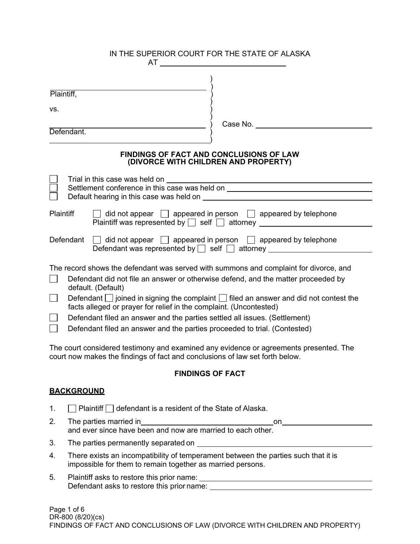|                                                                                     |                                                                                                                                                                       | IN THE SUPERIOR COURT FOR THE STATE OF ALASKA<br>$AT \_$                                                                                                              |  |
|-------------------------------------------------------------------------------------|-----------------------------------------------------------------------------------------------------------------------------------------------------------------------|-----------------------------------------------------------------------------------------------------------------------------------------------------------------------|--|
|                                                                                     |                                                                                                                                                                       |                                                                                                                                                                       |  |
| Plaintiff,                                                                          |                                                                                                                                                                       |                                                                                                                                                                       |  |
| VS.                                                                                 |                                                                                                                                                                       |                                                                                                                                                                       |  |
|                                                                                     |                                                                                                                                                                       | Case No.                                                                                                                                                              |  |
| Defendant.                                                                          |                                                                                                                                                                       |                                                                                                                                                                       |  |
|                                                                                     | (DIVORCE WITH CHILDREN AND PROPERTY)                                                                                                                                  | <b>FINDINGS OF FACT AND CONCLUSIONS OF LAW</b>                                                                                                                        |  |
|                                                                                     |                                                                                                                                                                       |                                                                                                                                                                       |  |
|                                                                                     |                                                                                                                                                                       |                                                                                                                                                                       |  |
| Plaintiff                                                                           |                                                                                                                                                                       | $\Box$ did not appear $\Box$ appeared in person $\Box$ appeared by telephone<br>Plaintiff was represented by □ self □ attorney _________________________________      |  |
| Defendant                                                                           |                                                                                                                                                                       | $\Box$ did not appear $\Box$ appeared in person $\Box$ appeared by telephone<br>Defendant was represented by $\Box$ self $\Box$ attorney $\Box$                       |  |
|                                                                                     |                                                                                                                                                                       | The record shows the defendant was served with summons and complaint for divorce, and                                                                                 |  |
| default. (Default)                                                                  |                                                                                                                                                                       | Defendant did not file an answer or otherwise defend, and the matter proceeded by                                                                                     |  |
| $\Box$                                                                              | Defendant $\Box$ joined in signing the complaint $\Box$ filed an answer and did not contest the<br>facts alleged or prayer for relief in the complaint. (Uncontested) |                                                                                                                                                                       |  |
|                                                                                     | Defendant filed an answer and the parties settled all issues. (Settlement)                                                                                            |                                                                                                                                                                       |  |
| $\Box$<br>Defendant filed an answer and the parties proceeded to trial. (Contested) |                                                                                                                                                                       |                                                                                                                                                                       |  |
|                                                                                     |                                                                                                                                                                       | The court considered testimony and examined any evidence or agreements presented. The<br>court now makes the findings of fact and conclusions of law set forth below. |  |
|                                                                                     | <b>FINDINGS OF FACT</b>                                                                                                                                               |                                                                                                                                                                       |  |

# **BACKGROUND**

- 1.  $\Box$  Plaintiff  $\Box$  defendant is a resident of the State of Alaska.
- 2. The parties married in one on one and ever since have been and now are married to each other.
- 3. The parties permanently separated on
- 4. There exists an incompatibility of temperament between the parties such that it is impossible for them to remain together as married persons.
- 5. Plaintiff asks to restore this prior name: Defendant asks to restore this prior name: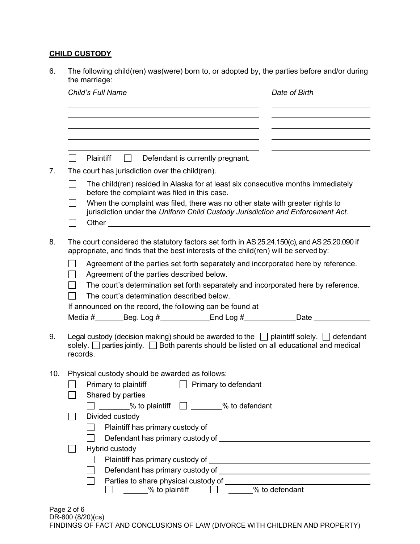## **CHILD CUSTODY**

6. The following child(ren) was(were) born to, or adopted by, the parties before and/or during the marriage:

|     | Child's Full Name                                                                                                                                                                                         | Date of Birth |  |  |
|-----|-----------------------------------------------------------------------------------------------------------------------------------------------------------------------------------------------------------|---------------|--|--|
|     |                                                                                                                                                                                                           |               |  |  |
|     |                                                                                                                                                                                                           |               |  |  |
|     | Plaintiff<br>Defendant is currently pregnant.<br>$\mathbf{1}$                                                                                                                                             |               |  |  |
|     | The court has jurisdiction over the child (ren).                                                                                                                                                          |               |  |  |
|     | The child(ren) resided in Alaska for at least six consecutive months immediately<br>before the complaint was filed in this case.                                                                          |               |  |  |
|     | When the complaint was filed, there was no other state with greater rights to<br>jurisdiction under the Uniform Child Custody Jurisdiction and Enforcement Act.                                           |               |  |  |
|     |                                                                                                                                                                                                           |               |  |  |
|     | The court considered the statutory factors set forth in AS 25.24.150(c), and AS 25.20.090 if<br>appropriate, and finds that the best interests of the child(ren) will be served by:                       |               |  |  |
|     | Agreement of the parties set forth separately and incorporated here by reference.                                                                                                                         |               |  |  |
|     | Agreement of the parties described below.                                                                                                                                                                 |               |  |  |
|     | The court's determination set forth separately and incorporated here by reference.                                                                                                                        |               |  |  |
|     | The court's determination described below.                                                                                                                                                                |               |  |  |
|     | If announced on the record, the following can be found at                                                                                                                                                 |               |  |  |
|     | Media #_________Beg. Log #_______________End Log #_______________Date __________                                                                                                                          |               |  |  |
|     | Legal custody (decision making) should be awarded to the $\Box$ plaintiff solely. $\Box$ defendant<br>solely. $\Box$ parties jointly. $\Box$ Both parents should be listed on all educational and medical |               |  |  |
|     | records.                                                                                                                                                                                                  |               |  |  |
| 10. | Physical custody should be awarded as follows:                                                                                                                                                            |               |  |  |
|     | Primary to plaintiff <u>Primary</u> to defendant                                                                                                                                                          |               |  |  |
|     | Shared by parties                                                                                                                                                                                         |               |  |  |
|     | $\frac{1}{2}$ % to plaintiff $\Box$ $\frac{1}{2}$ % to defendant                                                                                                                                          |               |  |  |
|     | Divided custody                                                                                                                                                                                           |               |  |  |
|     |                                                                                                                                                                                                           |               |  |  |
|     |                                                                                                                                                                                                           |               |  |  |
|     | Hybrid custody                                                                                                                                                                                            |               |  |  |
|     |                                                                                                                                                                                                           |               |  |  |
|     |                                                                                                                                                                                                           |               |  |  |
|     |                                                                                                                                                                                                           |               |  |  |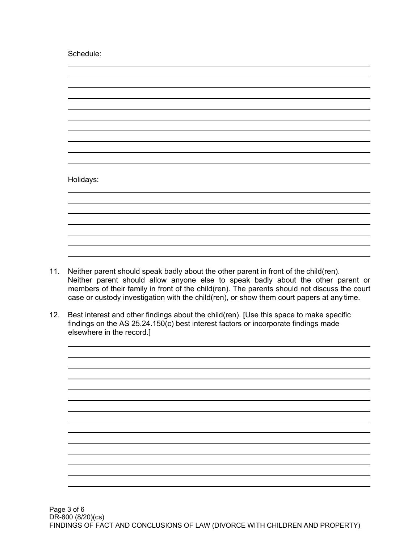Schedule:



- 11. Neither parent should speak badly about the other parent in front of the child(ren). Neither parent should allow anyone else to speak badly about the other parent or members of their family in front of the child(ren). The parents should not discuss the court case or custody investigation with the child(ren), or show them court papers at any time.
- 12. Best interest and other findings about the child(ren). [Use this space to make specific findings on the AS 25.24.150(c) best interest factors or incorporate findings made elsewhere in the record.]

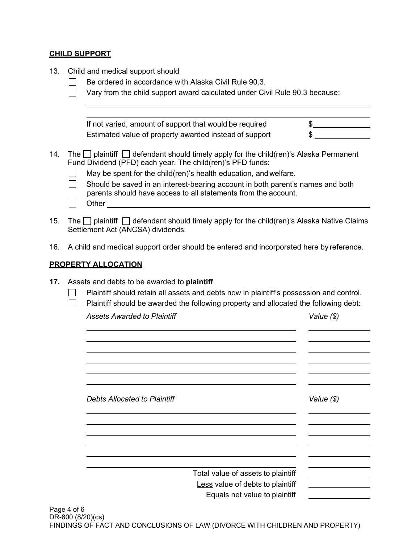#### **CHILD SUPPORT**

- 13. Child and medical support should
	- $\Box$ Be ordered in accordance with Alaska Civil Rule 90.3.
	- $\Box$  Vary from the child support award calculated under Civil Rule 90.3 because:

If not varied, amount of support that would be required  $\qquad \qquad \$ Estimated value of property awarded instead of support \$

- 14. The  $\Box$  plaintiff  $\Box$  defendant should timely apply for the child(ren)'s Alaska Permanent Fund Dividend (PFD) each year. The child(ren)'s PFD funds:
	- $\Box$ May be spent for the child(ren)'s health education, and welfare.
	- $\Box$ Should be saved in an interest-bearing account in both parent's names and both parents should have access to all statements from the account.
	- $\Box$ **Other** and the state of the state of the state of the state of the state of the state of the state of the state of the state of the state of the state of the state of the state of the state of the state of the state of th
- 15. The  $\Box$  plaintiff  $\Box$  defendant should timely apply for the child(ren)'s Alaska Native Claims Settlement Act (ANCSA) dividends.
- 16. A child and medical support order should be entered and incorporated here by reference.

#### **PROPERTY ALLOCATION**

- **17.** Assets and debts to be awarded to **plaintiff**
	- **Plaintiff should retain all assets and debts now in plaintiff's possession and control.**
	- $\Box$  Plaintiff should be awarded the following property and allocated the following debt:

*Assets Awarded to Plaintiff Value (\$)*

| <b>Debts Allocated to Plaintiff</b> |                                                                   | Value (\$) |
|-------------------------------------|-------------------------------------------------------------------|------------|
|                                     |                                                                   |            |
|                                     | Total value of assets to plaintiff                                |            |
|                                     | Less value of debts to plaintiff<br>Equals net value to plaintiff |            |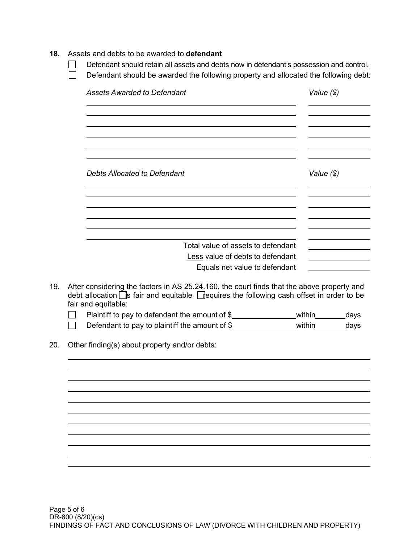#### **18.** Assets and debts to be awarded to **defendant**

- $\Box$ Defendant should retain all assets and debts now in defendant's possession and control.
- Defendant should be awarded the following property and allocated the following debt:  $\Box$

| <b>Assets Awarded to Defendant</b>                                                                                                                                                                            | Value (\$) |  |
|---------------------------------------------------------------------------------------------------------------------------------------------------------------------------------------------------------------|------------|--|
|                                                                                                                                                                                                               |            |  |
| <b>Debts Allocated to Defendant</b>                                                                                                                                                                           | Value (\$) |  |
|                                                                                                                                                                                                               |            |  |
| Total value of assets to defendant                                                                                                                                                                            |            |  |
| Less value of debts to defendant                                                                                                                                                                              |            |  |
|                                                                                                                                                                                                               |            |  |
| Equals net value to defendant                                                                                                                                                                                 |            |  |
| After considering the factors in AS 25.24.160, the court finds that the above property and<br>debt allocation S fair and equitable S requires the following cash offset in order to be<br>fair and equitable: |            |  |
|                                                                                                                                                                                                               |            |  |
| Defendant to pay to plaintiff the amount of \$_____________________within_________days                                                                                                                        |            |  |
| Other finding(s) about property and/or debts:                                                                                                                                                                 |            |  |
|                                                                                                                                                                                                               |            |  |
|                                                                                                                                                                                                               |            |  |
|                                                                                                                                                                                                               |            |  |
|                                                                                                                                                                                                               |            |  |
|                                                                                                                                                                                                               |            |  |
|                                                                                                                                                                                                               |            |  |
|                                                                                                                                                                                                               |            |  |
|                                                                                                                                                                                                               |            |  |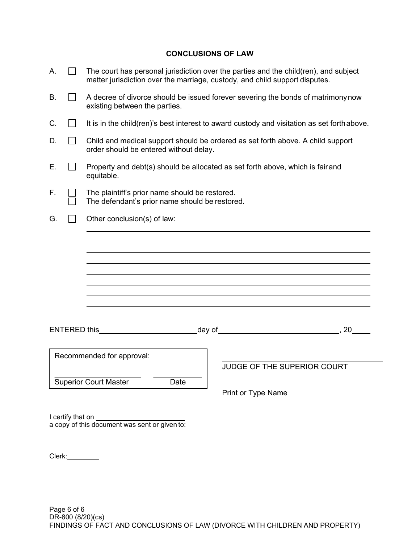### **CONCLUSIONS OF LAW**

| А. |                                      | The court has personal jurisdiction over the parties and the child(ren), and subject<br>matter jurisdiction over the marriage, custody, and child support disputes. |  |  |
|----|--------------------------------------|---------------------------------------------------------------------------------------------------------------------------------------------------------------------|--|--|
| В. |                                      | A decree of divorce should be issued forever severing the bonds of matrimony now<br>existing between the parties.                                                   |  |  |
| C. |                                      | It is in the child(ren)'s best interest to award custody and visitation as set forth above.                                                                         |  |  |
| D. |                                      | Child and medical support should be ordered as set forth above. A child support<br>order should be entered without delay.                                           |  |  |
| Е. |                                      | Property and debt(s) should be allocated as set forth above, which is fair and<br>equitable.                                                                        |  |  |
| F. |                                      | The plaintiff's prior name should be restored.<br>The defendant's prior name should be restored.                                                                    |  |  |
| G. |                                      | Other conclusion(s) of law:                                                                                                                                         |  |  |
|    |                                      |                                                                                                                                                                     |  |  |
|    |                                      |                                                                                                                                                                     |  |  |
|    |                                      |                                                                                                                                                                     |  |  |
|    |                                      |                                                                                                                                                                     |  |  |
|    |                                      |                                                                                                                                                                     |  |  |
|    |                                      |                                                                                                                                                                     |  |  |
|    |                                      |                                                                                                                                                                     |  |  |
|    | <b>ENTERED this</b>                  | day of which is a series of the series of the series of the series of the series of the series of the series o<br>,20                                               |  |  |
|    |                                      | Recommended for approval:                                                                                                                                           |  |  |
|    |                                      | JUDGE OF THE SUPERIOR COURT                                                                                                                                         |  |  |
|    | <b>Superior Court Master</b><br>Date |                                                                                                                                                                     |  |  |
|    |                                      | Print or Type Name                                                                                                                                                  |  |  |
|    |                                      |                                                                                                                                                                     |  |  |
|    | I certify that on                    | a copy of this document was sent or given to:                                                                                                                       |  |  |

Clerk: